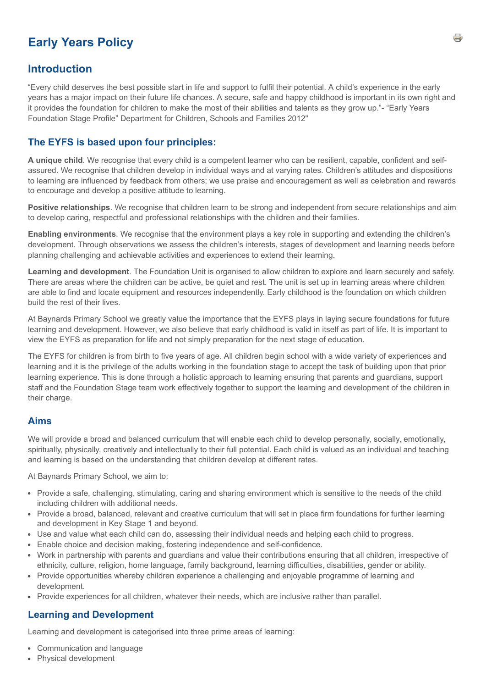# **Early Years Policy**

# **Introduction**

"Every child deserves the best possible start in life and support to fulfil their potential. A child's experience in the early years has a major impact on their future life chances. A secure, safe and happy childhood is important in its own right and it provides the foundation for children to make the most of their abilities and talents as they grow up."- "Early Years Foundation Stage Profile" Department for Children, Schools and Families 2012"

## **The EYFS is based upon four principles:**

**A unique child**. We recognise that every child is a competent learner who can be resilient, capable, confident and selfassured. We recognise that children develop in individual ways and at varying rates. Children's attitudes and dispositions to learning are influenced by feedback from others; we use praise and encouragement as well as celebration and rewards to encourage and develop a positive attitude to learning.

**Positive relationships**. We recognise that children learn to be strong and independent from secure relationships and aim to develop caring, respectful and professional relationships with the children and their families.

**Enabling environments**. We recognise that the environment plays a key role in supporting and extending the children's development. Through observations we assess the children's interests, stages of development and learning needs before planning challenging and achievable activities and experiences to extend their learning.

**Learning and development**. The Foundation Unit is organised to allow children to explore and learn securely and safely. There are areas where the children can be active, be quiet and rest. The unit is set up in learning areas where children are able to find and locate equipment and resources independently. Early childhood is the foundation on which children build the rest of their lives.

At Baynards Primary School we greatly value the importance that the EYFS plays in laying secure foundations for future learning and development. However, we also believe that early childhood is valid in itself as part of life. It is important to view the EYFS as preparation for life and not simply preparation for the next stage of education.

The EYFS for children is from birth to five years of age. All children begin school with a wide variety of experiences and learning and it is the privilege of the adults working in the foundation stage to accept the task of building upon that prior learning experience. This is done through a holistic approach to learning ensuring that parents and guardians, support staff and the Foundation Stage team work effectively together to support the learning and development of the children in their charge.

#### **Aims**

We will provide a broad and balanced curriculum that will enable each child to develop personally, socially, emotionally, spiritually, physically, creatively and intellectually to their full potential. Each child is valued as an individual and teaching and learning is based on the understanding that children develop at different rates.

At Baynards Primary School, we aim to:

- Provide a safe, challenging, stimulating, caring and sharing environment which is sensitive to the needs of the child including children with additional needs.
- Provide a broad, balanced, relevant and creative curriculum that will set in place firm foundations for further learning and development in Key Stage 1 and beyond.
- Use and value what each child can do, assessing their individual needs and helping each child to progress.
- Enable choice and decision making, fostering independence and self-confidence.
- Work in partnership with parents and guardians and value their contributions ensuring that all children, irrespective of ethnicity, culture, religion, home language, family background, learning difficulties, disabilities, gender or ability.
- Provide opportunities whereby children experience a challenging and enjoyable programme of learning and development.
- Provide experiences for all children, whatever their needs, which are inclusive rather than parallel.

## **Learning and Development**

Learning and development is categorised into three prime areas of learning:

- Communication and language
- Physical development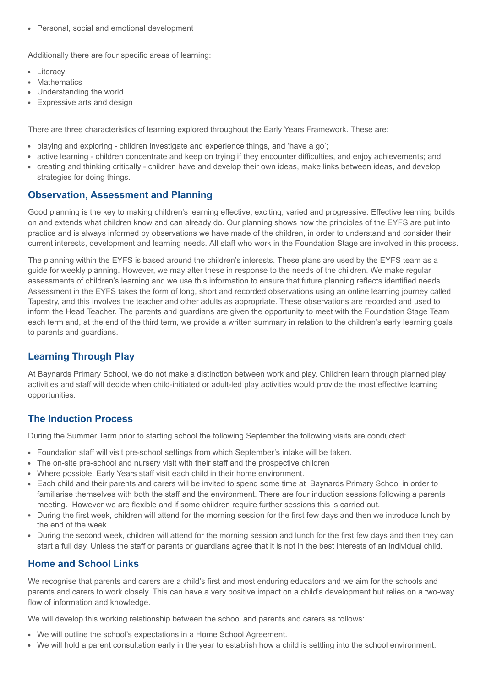Personal, social and emotional development

Additionally there are four specific areas of learning:

- Literacy
- Mathematics
- Understanding the world
- Expressive arts and design

There are three characteristics of learning explored throughout the Early Years Framework. These are:

- playing and exploring children investigate and experience things, and 'have a go';
- active learning children concentrate and keep on trying if they encounter difficulties, and enjoy achievements; and
- creating and thinking critically children have and develop their own ideas, make links between ideas, and develop strategies for doing things.

#### **Observation, Assessment and Planning**

Good planning is the key to making children's learning effective, exciting, varied and progressive. Effective learning builds on and extends what children know and can already do. Our planning shows how the principles of the EYFS are put into practice and is always informed by observations we have made of the children, in order to understand and consider their current interests, development and learning needs. All staff who work in the Foundation Stage are involved in this process.

The planning within the EYFS is based around the children's interests. These plans are used by the EYFS team as a guide for weekly planning. However, we may alter these in response to the needs of the children. We make regular assessments of children's learning and we use this information to ensure that future planning reflects identified needs. Assessment in the EYFS takes the form of long, short and recorded observations using an online learning journey called Tapestry, and this involves the teacher and other adults as appropriate. These observations are recorded and used to inform the Head Teacher. The parents and guardians are given the opportunity to meet with the Foundation Stage Team each term and, at the end of the third term, we provide a written summary in relation to the children's early learning goals to parents and guardians.

## **Learning Through Play**

At Baynards Primary School, we do not make a distinction between work and play. Children learn through planned play activities and staff will decide when child-initiated or adult-led play activities would provide the most effective learning opportunities.

## **The Induction Process**

During the Summer Term prior to starting school the following September the following visits are conducted:

- Foundation staff will visit pre-school settings from which September's intake will be taken.
- The on-site pre-school and nursery visit with their staff and the prospective children
- Where possible, Early Years staff visit each child in their home environment.
- Each child and their parents and carers will be invited to spend some time at Baynards Primary School in order to familiarise themselves with both the staff and the environment. There are four induction sessions following a parents meeting. However we are flexible and if some children require further sessions this is carried out.
- During the first week, children will attend for the morning session for the first few days and then we introduce lunch by the end of the week.
- During the second week, children will attend for the morning session and lunch for the first few days and then they can start a full day. Unless the staff or parents or guardians agree that it is not in the best interests of an individual child.

## **Home and School Links**

We recognise that parents and carers are a child's first and most enduring educators and we aim for the schools and parents and carers to work closely. This can have a very positive impact on a child's development but relies on a two-way flow of information and knowledge.

We will develop this working relationship between the school and parents and carers as follows:

- We will outline the school's expectations in a Home School Agreement.
- We will hold a parent consultation early in the year to establish how a child is settling into the school environment.